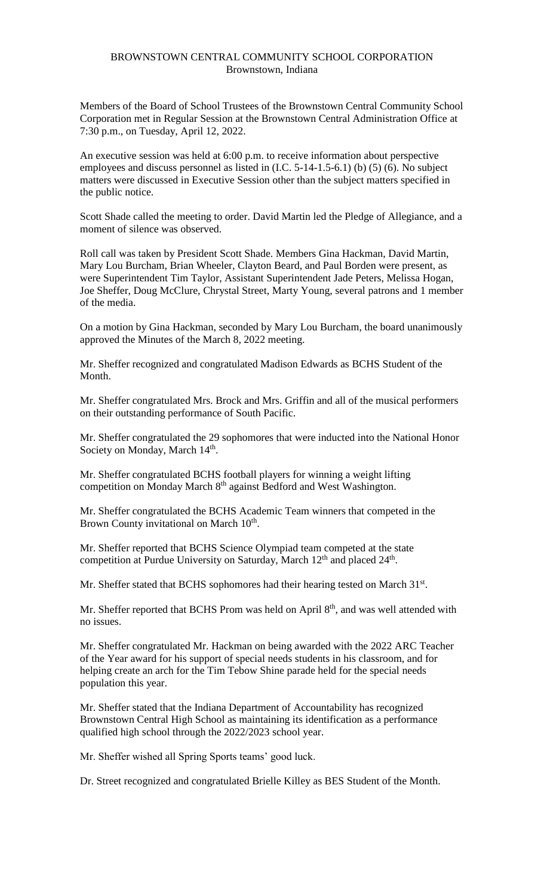## BROWNSTOWN CENTRAL COMMUNITY SCHOOL CORPORATION Brownstown, Indiana

Members of the Board of School Trustees of the Brownstown Central Community School Corporation met in Regular Session at the Brownstown Central Administration Office at 7:30 p.m., on Tuesday, April 12, 2022.

An executive session was held at 6:00 p.m. to receive information about perspective employees and discuss personnel as listed in (I.C. 5-14-1.5-6.1) (b) (5) (6). No subject matters were discussed in Executive Session other than the subject matters specified in the public notice.

Scott Shade called the meeting to order. David Martin led the Pledge of Allegiance, and a moment of silence was observed.

Roll call was taken by President Scott Shade. Members Gina Hackman, David Martin, Mary Lou Burcham, Brian Wheeler, Clayton Beard, and Paul Borden were present, as were Superintendent Tim Taylor, Assistant Superintendent Jade Peters, Melissa Hogan, Joe Sheffer, Doug McClure, Chrystal Street, Marty Young, several patrons and 1 member of the media.

On a motion by Gina Hackman, seconded by Mary Lou Burcham, the board unanimously approved the Minutes of the March 8, 2022 meeting.

Mr. Sheffer recognized and congratulated Madison Edwards as BCHS Student of the Month.

Mr. Sheffer congratulated Mrs. Brock and Mrs. Griffin and all of the musical performers on their outstanding performance of South Pacific.

Mr. Sheffer congratulated the 29 sophomores that were inducted into the National Honor Society on Monday, March 14<sup>th</sup>.

Mr. Sheffer congratulated BCHS football players for winning a weight lifting competition on Monday March 8<sup>th</sup> against Bedford and West Washington.

Mr. Sheffer congratulated the BCHS Academic Team winners that competed in the Brown County invitational on March 10<sup>th</sup>.

Mr. Sheffer reported that BCHS Science Olympiad team competed at the state competition at Purdue University on Saturday, March 12<sup>th</sup> and placed 24<sup>th</sup>.

Mr. Sheffer stated that BCHS sophomores had their hearing tested on March 31st.

Mr. Sheffer reported that BCHS Prom was held on April  $8<sup>th</sup>$ , and was well attended with no issues.

Mr. Sheffer congratulated Mr. Hackman on being awarded with the 2022 ARC Teacher of the Year award for his support of special needs students in his classroom, and for helping create an arch for the Tim Tebow Shine parade held for the special needs population this year.

Mr. Sheffer stated that the Indiana Department of Accountability has recognized Brownstown Central High School as maintaining its identification as a performance qualified high school through the 2022/2023 school year.

Mr. Sheffer wished all Spring Sports teams' good luck.

Dr. Street recognized and congratulated Brielle Killey as BES Student of the Month.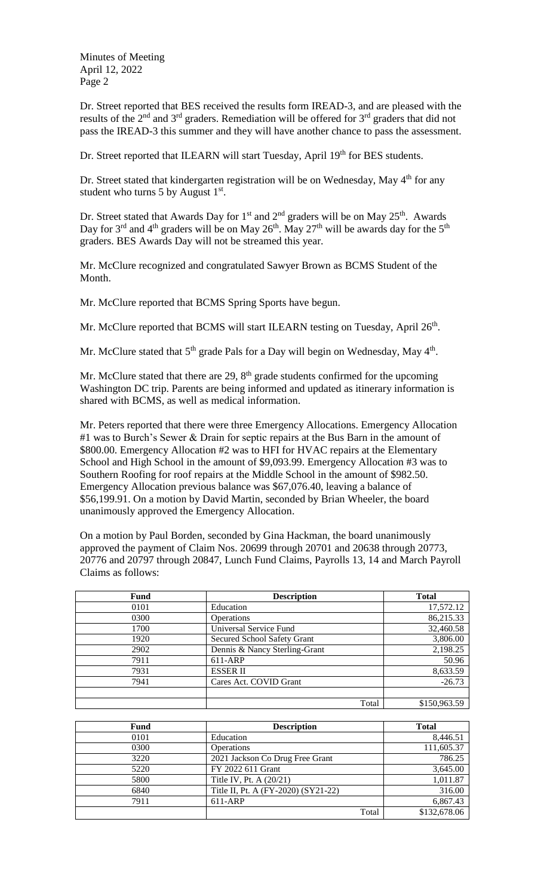Minutes of Meeting April 12, 2022 Page 2

Dr. Street reported that BES received the results form IREAD-3, and are pleased with the results of the  $2<sup>nd</sup>$  and  $3<sup>rd</sup>$  graders. Remediation will be offered for  $3<sup>rd</sup>$  graders that did not pass the IREAD-3 this summer and they will have another chance to pass the assessment.

Dr. Street reported that ILEARN will start Tuesday, April 19th for BES students.

Dr. Street stated that kindergarten registration will be on Wednesday, May 4<sup>th</sup> for any student who turns 5 by August  $1<sup>st</sup>$ .

Dr. Street stated that Awards Day for  $1<sup>st</sup>$  and  $2<sup>nd</sup>$  graders will be on May  $25<sup>th</sup>$ . Awards Day for  $3^{rd}$  and  $4^{th}$  graders will be on May  $26^{th}$ . May  $27^{th}$  will be awards day for the  $5^{th}$ graders. BES Awards Day will not be streamed this year.

Mr. McClure recognized and congratulated Sawyer Brown as BCMS Student of the Month.

Mr. McClure reported that BCMS Spring Sports have begun.

Mr. McClure reported that BCMS will start ILEARN testing on Tuesday, April 26<sup>th</sup>.

Mr. McClure stated that  $5<sup>th</sup>$  grade Pals for a Day will begin on Wednesday, May  $4<sup>th</sup>$ .

Mr. McClure stated that there are  $29$ ,  $8<sup>th</sup>$  grade students confirmed for the upcoming Washington DC trip. Parents are being informed and updated as itinerary information is shared with BCMS, as well as medical information.

Mr. Peters reported that there were three Emergency Allocations. Emergency Allocation #1 was to Burch's Sewer & Drain for septic repairs at the Bus Barn in the amount of \$800.00. Emergency Allocation #2 was to HFI for HVAC repairs at the Elementary School and High School in the amount of \$9,093.99. Emergency Allocation #3 was to Southern Roofing for roof repairs at the Middle School in the amount of \$982.50. Emergency Allocation previous balance was \$67,076.40, leaving a balance of \$56,199.91. On a motion by David Martin, seconded by Brian Wheeler, the board unanimously approved the Emergency Allocation.

On a motion by Paul Borden, seconded by Gina Hackman, the board unanimously approved the payment of Claim Nos. 20699 through 20701 and 20638 through 20773, 20776 and 20797 through 20847, Lunch Fund Claims, Payrolls 13, 14 and March Payroll Claims as follows:

| Fund | <b>Description</b>            | <b>Total</b> |
|------|-------------------------------|--------------|
| 0101 | Education                     | 17,572.12    |
| 0300 | Operations                    | 86,215.33    |
| 1700 | Universal Service Fund        | 32,460.58    |
| 1920 | Secured School Safety Grant   | 3,806.00     |
| 2902 | Dennis & Nancy Sterling-Grant | 2,198.25     |
| 7911 | 611-ARP                       | 50.96        |
| 7931 | <b>ESSER II</b>               | 8,633.59     |
| 7941 | Cares Act. COVID Grant        | $-26.73$     |
|      |                               |              |
|      | Total                         | \$150,963.59 |

| Fund | <b>Description</b>                  | <b>Total</b> |
|------|-------------------------------------|--------------|
| 0101 | Education                           | 8,446.51     |
| 0300 | Operations                          | 111,605.37   |
| 3220 | 2021 Jackson Co Drug Free Grant     | 786.25       |
| 5220 | FY 2022 611 Grant                   | 3,645.00     |
| 5800 | Title IV, Pt. A (20/21)             | 1,011.87     |
| 6840 | Title II, Pt. A (FY-2020) (SY21-22) | 316.00       |
| 7911 | 611-ARP                             | 6,867.43     |
|      | Total                               | \$132,678.06 |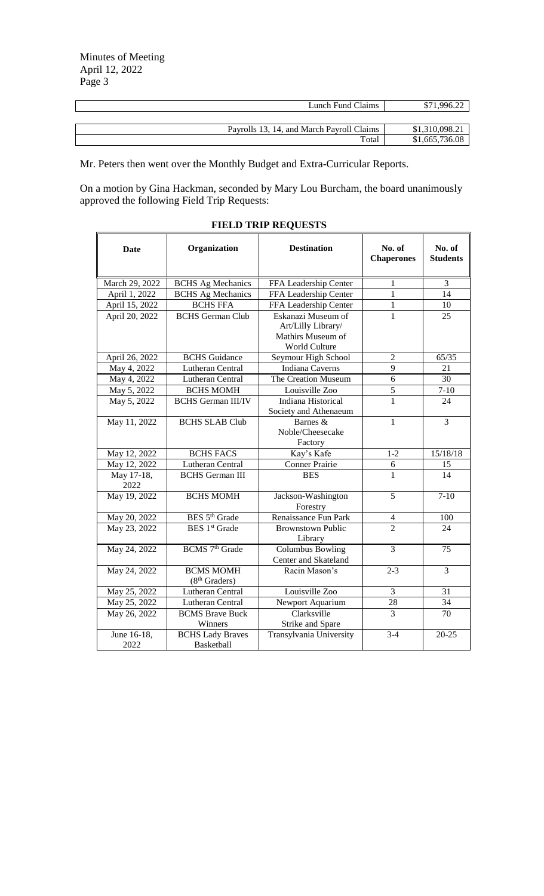$\overline{a}$ 

| Payrolls 13, 14, and March Payroll Claims | \$1,310,098.21 |
|-------------------------------------------|----------------|
| Total                                     | \$1,665,736.08 |

Mr. Peters then went over the Monthly Budget and Extra-Curricular Reports.

On a motion by Gina Hackman, seconded by Mary Lou Burcham, the board unanimously approved the following Field Trip Requests:

| <b>Date</b>         | Organization                                  | <b>Destination</b>                                                             | No. of<br><b>Chaperones</b> | No. of<br><b>Students</b> |
|---------------------|-----------------------------------------------|--------------------------------------------------------------------------------|-----------------------------|---------------------------|
| March 29, 2022      | <b>BCHS</b> Ag Mechanics                      | FFA Leadership Center                                                          | $\mathbf 1$                 | 3                         |
| April 1, 2022       | <b>BCHS</b> Ag Mechanics                      | FFA Leadership Center                                                          | 1                           | 14                        |
| April 15, 2022      | <b>BCHS FFA</b>                               | FFA Leadership Center                                                          | 1                           | 10                        |
| April 20, 2022      | <b>BCHS</b> German Club                       | Eskanazi Museum of<br>Art/Lilly Library/<br>Mathirs Museum of<br>World Culture | $\mathbf{1}$                | 25                        |
| April 26, 2022      | <b>BCHS</b> Guidance                          | Seymour High School                                                            | $\overline{2}$              | 65/35                     |
| May 4, 2022         | Lutheran Central                              | <b>Indiana Caverns</b>                                                         | 9                           | 21                        |
| May 4, 2022         | Lutheran Central                              | The Creation Museum                                                            | $\overline{6}$              | 30                        |
| May 5, 2022         | <b>BCHS MOMH</b>                              | Louisville Zoo                                                                 | $\overline{5}$              | $7 - 10$                  |
| May 5, 2022         | <b>BCHS</b> German III/IV                     | Indiana Historical<br>Society and Athenaeum                                    | $\mathbf{1}$                | 24                        |
| May 11, 2022        | <b>BCHS SLAB Club</b>                         | Barnes &<br>Noble/Cheesecake<br>Factory                                        | $\mathbf{1}$                | 3                         |
| May 12, 2022        | <b>BCHS FACS</b>                              | Kay's Kafe                                                                     | $1 - 2$                     | 15/18/18                  |
| May 12, 2022        | Lutheran Central                              | <b>Conner Prairie</b>                                                          | 6                           | 15                        |
| May 17-18,<br>2022  | <b>BCHS</b> German III                        | <b>BES</b>                                                                     | 1                           | 14                        |
| May 19, 2022        | <b>BCHS MOMH</b>                              | Jackson-Washington<br>Forestry                                                 | 5                           | $7 - 10$                  |
| May 20, 2022        | BES 5 <sup>th</sup> Grade                     | Renaissance Fun Park                                                           | $\overline{4}$              | 100                       |
| May 23, 2022        | <b>BES</b> 1 <sup>st</sup> Grade              | <b>Brownstown Public</b><br>Library                                            | $\overline{2}$              | 24                        |
| May 24, 2022        | BCMS 7 <sup>th</sup> Grade                    | <b>Columbus Bowling</b><br>Center and Skateland                                | $\overline{3}$              | $\overline{75}$           |
| May 24, 2022        | <b>BCMS MOMH</b><br>(8 <sup>th</sup> Graders) | Racin Mason's                                                                  | $2 - 3$                     | 3                         |
| May 25, 2022        | Lutheran Central                              | Louisville Zoo                                                                 | 3                           | 31                        |
| May 25, 2022        | Lutheran Central                              | Newport Aquarium                                                               | 28                          | 34                        |
| May 26, 2022        | <b>BCMS</b> Brave Buck<br>Winners             | Clarksville<br>Strike and Spare                                                | $\overline{3}$              | 70                        |
| June 16-18,<br>2022 | <b>BCHS Lady Braves</b><br>Basketball         | Transylvania University                                                        | $3-4$                       | $20 - 25$                 |

## **FIELD TRIP REQUESTS**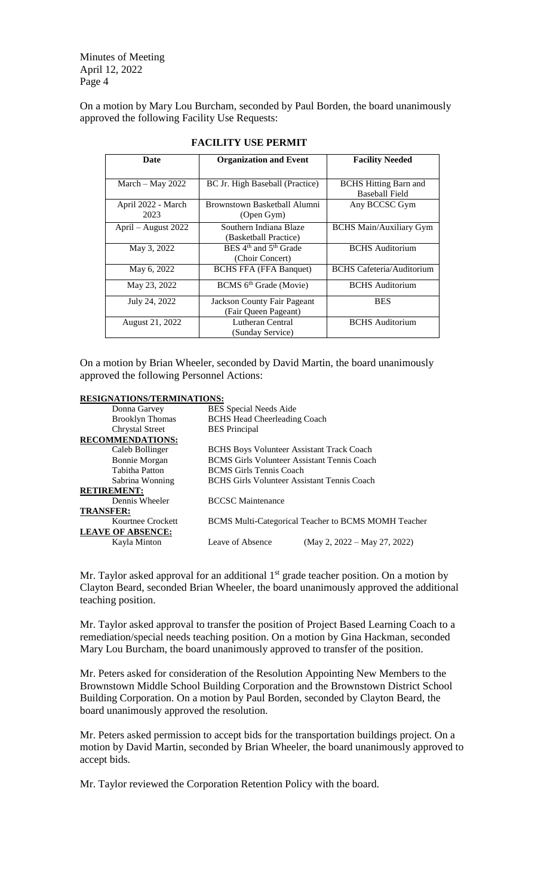Minutes of Meeting April 12, 2022 Page 4

On a motion by Mary Lou Burcham, seconded by Paul Borden, the board unanimously approved the following Facility Use Requests:

| <b>Date</b>                | <b>Organization and Event</b>                                    | <b>Facility Needed</b>                                |
|----------------------------|------------------------------------------------------------------|-------------------------------------------------------|
| March $-$ May 2022         | BC Jr. High Baseball (Practice)                                  | <b>BCHS</b> Hitting Barn and<br><b>Baseball Field</b> |
| April 2022 - March<br>2023 | Brownstown Basketball Alumni<br>(Open Gym)                       | Any BCCSC Gym                                         |
| April – August 2022        | Southern Indiana Blaze<br>(Basketball Practice)                  | <b>BCHS Main/Auxiliary Gym</b>                        |
| May 3, 2022                | BES 4 <sup>th</sup> and 5 <sup>th</sup> Grade<br>(Choir Concert) | <b>BCHS</b> Auditorium                                |
| May 6, 2022                | <b>BCHS FFA (FFA Banquet)</b>                                    | <b>BCHS</b> Cafeteria/Auditorium                      |
| May 23, 2022               | BCMS 6 <sup>th</sup> Grade (Movie)                               | <b>BCHS</b> Auditorium                                |
| July 24, 2022              | <b>Jackson County Fair Pageant</b><br>(Fair Queen Pageant)       | <b>BES</b>                                            |
| August 21, 2022            | Lutheran Central<br>(Sunday Service)                             | <b>BCHS</b> Auditorium                                |

## **FACILITY USE PERMIT**

On a motion by Brian Wheeler, seconded by David Martin, the board unanimously approved the following Personnel Actions:

| <b>RESIGNATIONS/TERMINATIONS:</b> |        |  |
|-----------------------------------|--------|--|
|                                   | DEC C. |  |

| Donna Garvey             | <b>BES</b> Special Needs Aide                              |                                |
|--------------------------|------------------------------------------------------------|--------------------------------|
| <b>Brooklyn Thomas</b>   | <b>BCHS Head Cheerleading Coach</b>                        |                                |
| <b>Chrystal Street</b>   | <b>BES</b> Principal                                       |                                |
| <b>RECOMMENDATIONS:</b>  |                                                            |                                |
| Caleb Bollinger          | <b>BCHS Boys Volunteer Assistant Track Coach</b>           |                                |
| Bonnie Morgan            | <b>BCMS</b> Girls Volunteer Assistant Tennis Coach         |                                |
| <b>Tabitha Patton</b>    | <b>BCMS</b> Girls Tennis Coach                             |                                |
| Sabrina Wonning          | <b>BCHS Girls Volunteer Assistant Tennis Coach</b>         |                                |
| <b>RETIREMENT:</b>       |                                                            |                                |
| Dennis Wheeler           | <b>BCCSC</b> Maintenance                                   |                                |
| <b>TRANSFER:</b>         |                                                            |                                |
| Kourtnee Crockett        | <b>BCMS Multi-Categorical Teacher to BCMS MOMH Teacher</b> |                                |
| <b>LEAVE OF ABSENCE:</b> |                                                            |                                |
| Kayla Minton             | Leave of Absence                                           | (May 2, $2022 -$ May 27, 2022) |
|                          |                                                            |                                |

Mr. Taylor asked approval for an additional  $1<sup>st</sup>$  grade teacher position. On a motion by Clayton Beard, seconded Brian Wheeler, the board unanimously approved the additional teaching position.

Mr. Taylor asked approval to transfer the position of Project Based Learning Coach to a remediation/special needs teaching position. On a motion by Gina Hackman, seconded Mary Lou Burcham, the board unanimously approved to transfer of the position.

Mr. Peters asked for consideration of the Resolution Appointing New Members to the Brownstown Middle School Building Corporation and the Brownstown District School Building Corporation. On a motion by Paul Borden, seconded by Clayton Beard, the board unanimously approved the resolution.

Mr. Peters asked permission to accept bids for the transportation buildings project. On a motion by David Martin, seconded by Brian Wheeler, the board unanimously approved to accept bids.

Mr. Taylor reviewed the Corporation Retention Policy with the board.